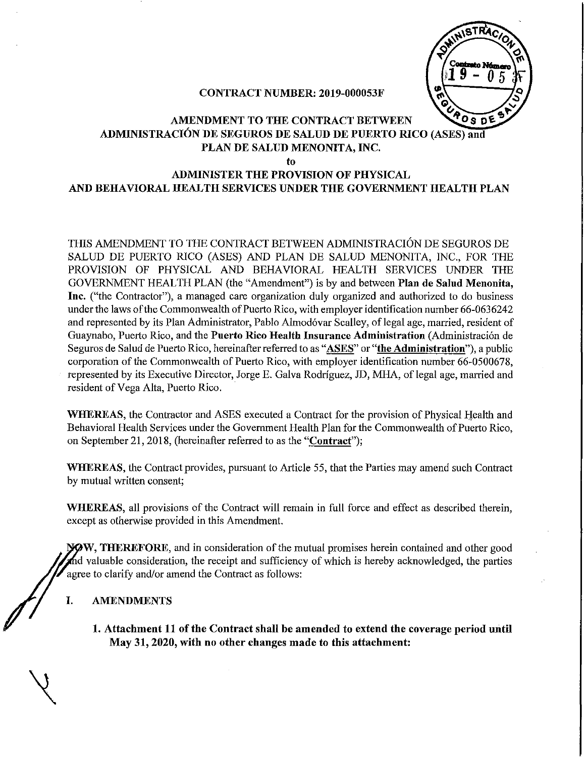

#### CONTRACT NUMBER: 2019-000053F

#### **AMENDMENT TO THE CONTRACT BETWEEN** ADMINISTRACIÓN DE SEGUROS DE SALUD DE PUERTO RICO (ASES) and PLAN DE SALUD MENONITA, INC.

to

# ADMINISTER THE PROVISION OF PHYSICAL AND BEHAVIORAL HEALTH SERVICES UNDER THE GOVERNMENT HEALTH PLAN

THIS AMENDMENT TO THE CONTRACT BETWEEN ADMINISTRACIÓN DE SEGUROS DE SALUD DE PUERTO RICO (ASES) AND PLAN DE SALUD MENONITA, INC., FOR THE PROVISION OF PHYSICAL AND BEHAVIORAL HEALTH SERVICES UNDER THE GOVERNMENT HEALTH PLAN (the "Amendment") is by and between Plan de Salnd Menonita, Inc. ("the Contractor"), a managed care organization duly organized and authorized to do business under the laws of the Commonwealth of Puerto Rico, with employer identification number 66-0636242 and represented by its Plan Administrator, Pablo Almodóvar Scalley, of legal age, married, resident of Guaynabo, Puerto Rico, and the Puerto Rico Health Insurance Administration (Administración de Seguros de Salud de Puerto Rico, hereinafter referred to as "ASES" or "the Administration"), a public corporation of the Commonwealth of Puerto Rico, with employer identification number 66-0500678, represented by its Executive Director, Jorge E. Galva Rodríguez, JD, MHA, of legal age, married and resident of Vega Alta, Puerto Rico.

WHEREAS, the Contractor and ASES executed a Contract for the provision of Physical Health and Behavioral Health Services under the Government Health Plan for the Commonwealth of Puerto Rico, on September 21, 2018, (hereinafter referred to as the "Contract");

WHEREAS, the Contract provides, pursuant to Article 55, that the Parties may amend such Contract by mutual written consent;

WHEREAS, all provisions of the Contract will remain in full force and effect as described therein, except as otherwise provided in this Amendment.

WW, THEREFORE, and in consideration of the mutual promises herein contained and other good d valuable consideration, the receipt and sufficiency of which is hereby acknowledged, the parties agree to clarify and/or amend the Contract as follows:

#### I. AMENDMENTS

1. Attachment 11 of the Contract shall be amended to extend the coverage period until May 31, 2020, with no other changes made to this attachment: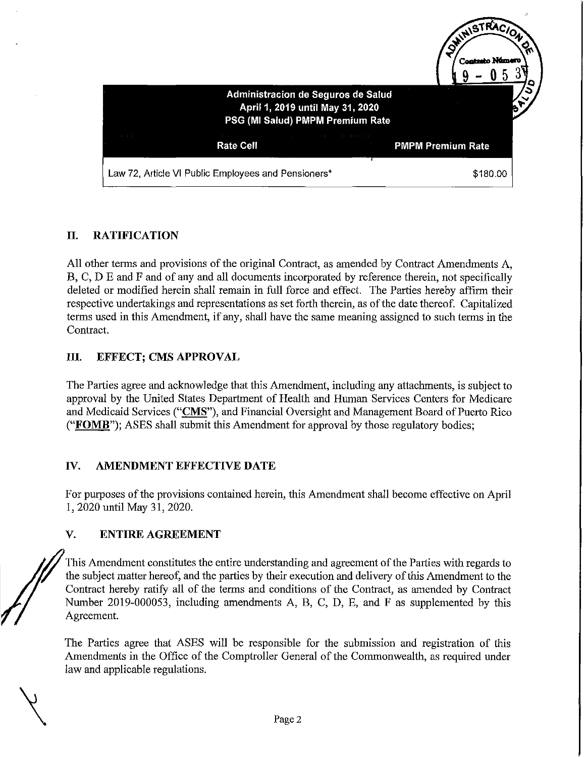

## II. RATIFICATION

All other terms and provisions of the original Contract, as amended by Contract Amendments A, B, C, D E and F and of any and all documents incorporated by reference therein, not specifically deleted or modified herein shall remain in full force and effect. The Parties hereby affirm their respective undertakings and representations as set forth therein, as ofthe date thereof. Capitalized terms used in this Amendment, if any, shall have the same meaning assigned to such terms in the Contract.

#### III. EFFECT; CMS APPROVAL

The Parties agree and acknowledge that this Amendment, including any attachments, is subject to approval by the United States Department of Health and Human Services Centers for Medicare and Medicaid Services ("CMS"), and Financial Oversight and Management Board of Puerto Rico ("FOMB"); ASES shall submit this Amendment for approval by those regulatory bodies;

#### IV. AMENDMENT EFFECTIVE DATE

For purposes ofthe provisions contained herein, this Amendment shall become effective on April 1,2020 until May 31, 2020.

#### V. ENTIRE AGREEMENT

This Amendment constitutes the entire understanding and agreement of the Parties with regards to the subject matter hereof, and the parties by their execution and delivery of this Amendment to the Contract hereby ratify all of the terms and conditions of the Contract, as amended by Contract Number 2019-000053, including amendments A, B, C, D, E, and F as supplemented by this Agreement.

The Parties agree that ASES will be responsible for the submission and registration of this Amendments in the Office of the Comptroller General of the Commonwealth, as required under law and applicable regulations.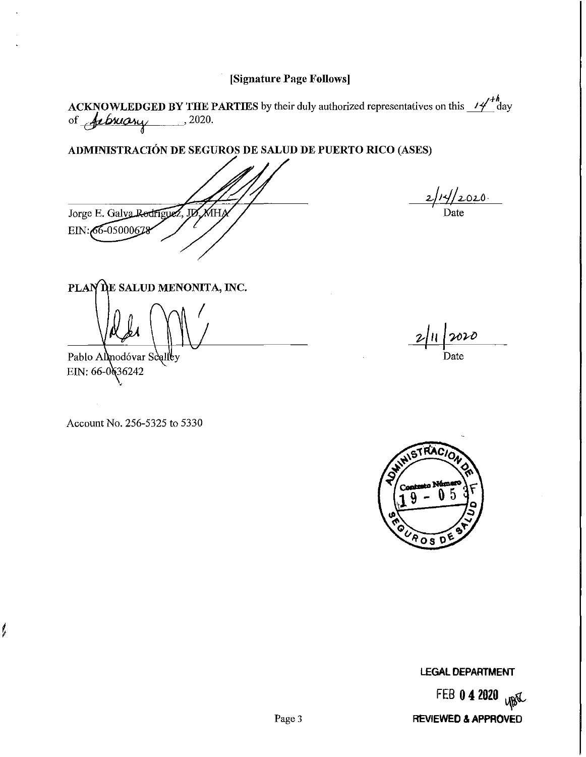### [Signature Page Follows]

ACKNOWLEDGED BY THE PARTIES by their duly authorized representatives on this  $\frac{14^{n}}{1}$  day of  $\frac{1}{2}$ 

#### ADMINISTRACION DE SEGUROS DE SALUD DE PUERTO RICO (ASES)

 $\overline{D}$ Jorge E. Galva Rodriguez EIN: 66-05000678

 $\overline{a}$ 

PLAN DE SALUD MENONITA, INC.

Pablo Almodóvar Scalley EIN:  $66-0(36242)$ 

ļ

Account No. 256-5325 to 5330

2/11/2020 Date



LEGAL **DEPARTMENT**

FEB **042020 REVIEWED &APPROVED**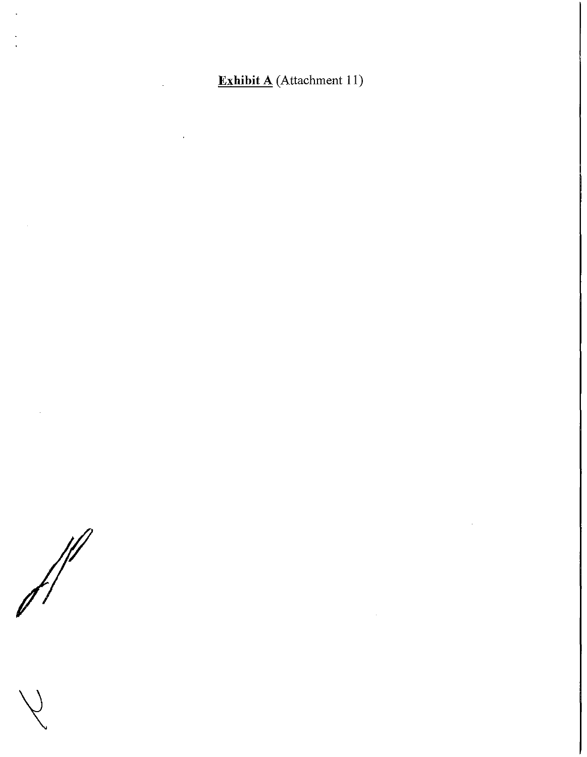**Exhibit A** (Attachment 11)